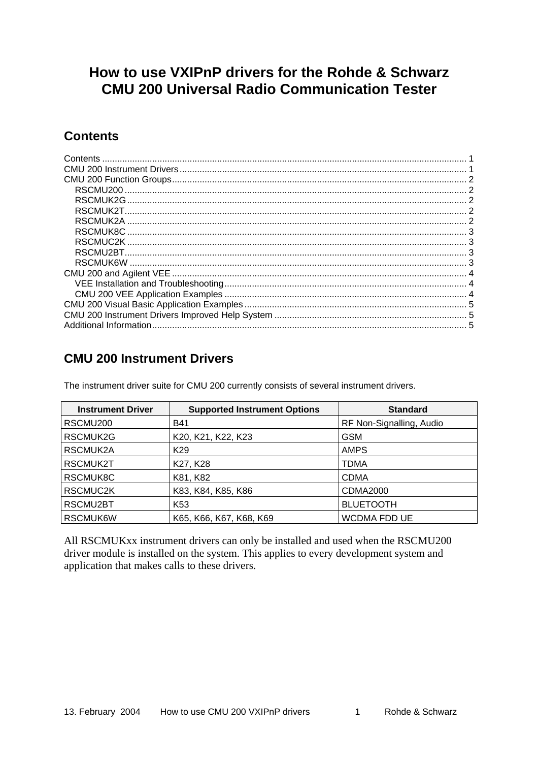# <span id="page-0-0"></span>**How to use VXIPnP drivers for the Rohde & Schwarz CMU 200 Universal Radio Communication Tester**

### **Contents**

| RSCMUK2G  |  |
|-----------|--|
| RSCMUK2T. |  |
|           |  |
|           |  |
|           |  |
|           |  |
|           |  |
|           |  |
|           |  |
|           |  |
|           |  |
|           |  |
|           |  |

## **CMU 200 Instrument Drivers**

The instrument driver suite for CMU 200 currently consists of several instrument drivers.

| <b>Instrument Driver</b> | <b>Supported Instrument Options</b> | <b>Standard</b>          |
|--------------------------|-------------------------------------|--------------------------|
| RSCMU <sub>200</sub>     | <b>B41</b>                          | RF Non-Signalling, Audio |
| RSCMUK2G                 | K20, K21, K22, K23                  | GSM                      |
| RSCMUK2A                 | K <sub>29</sub>                     | <b>AMPS</b>              |
| RSCMUK2T                 | K27, K28                            | TDMA                     |
| RSCMUK8C                 | K81, K82                            | <b>CDMA</b>              |
| RSCMUC2K                 | K83, K84, K85, K86                  | CDMA2000                 |
| RSCMU2BT                 | K53                                 | <b>BLUETOOTH</b>         |
| RSCMUK6W                 | K65, K66, K67, K68, K69             | WCDMA FDD UE             |

All RSCMUKxx instrument drivers can only be installed and used when the RSCMU200 driver module is installed on the system. This applies to every development system and application that makes calls to these drivers.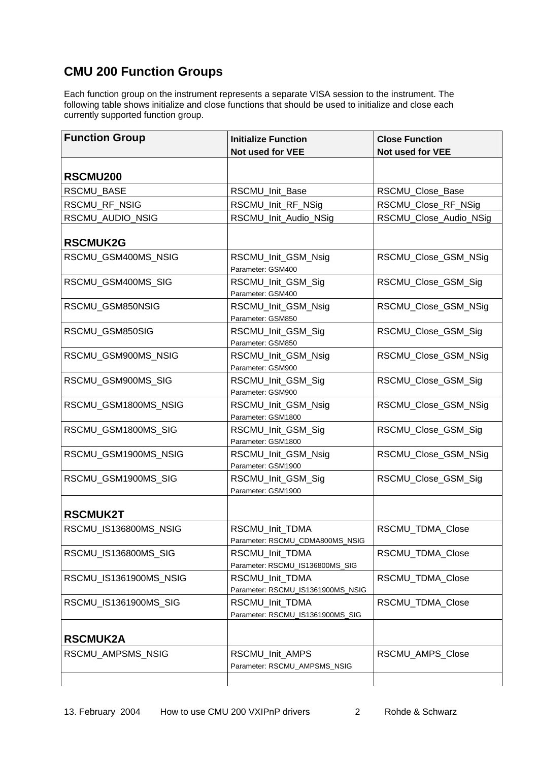## <span id="page-1-0"></span>**CMU 200 Function Groups**

Each function group on the instrument represents a separate VISA session to the instrument. The following table shows initialize and close functions that should be used to initialize and close each currently supported function group.

| <b>Function Group</b>  | <b>Initialize Function</b>                           | <b>Close Function</b>  |
|------------------------|------------------------------------------------------|------------------------|
|                        | Not used for VEE                                     | Not used for VEE       |
| RSCMU200               |                                                      |                        |
| <b>RSCMU BASE</b>      | RSCMU Init Base                                      | RSCMU_Close_Base       |
| RSCMU_RF_NSIG          | RSCMU_Init_RF_NSig                                   | RSCMU_Close_RF_NSig    |
| RSCMU_AUDIO_NSIG       | RSCMU_Init_Audio_NSig                                | RSCMU_Close_Audio_NSig |
| <b>RSCMUK2G</b>        |                                                      |                        |
| RSCMU_GSM400MS_NSIG    | RSCMU_Init_GSM_Nsig<br>Parameter: GSM400             | RSCMU Close GSM NSig   |
| RSCMU_GSM400MS_SIG     | RSCMU_Init_GSM_Sig<br>Parameter: GSM400              | RSCMU_Close_GSM_Sig    |
| RSCMU_GSM850NSIG       | RSCMU Init GSM Nsig<br>Parameter: GSM850             | RSCMU_Close_GSM_NSig   |
| RSCMU_GSM850SIG        | RSCMU_Init_GSM_Sig<br>Parameter: GSM850              | RSCMU_Close_GSM_Sig    |
| RSCMU_GSM900MS_NSIG    | RSCMU_Init_GSM_Nsig<br>Parameter: GSM900             | RSCMU_Close_GSM_NSig   |
| RSCMU_GSM900MS_SIG     | RSCMU_Init_GSM_Sig<br>Parameter: GSM900              | RSCMU_Close_GSM_Sig    |
| RSCMU_GSM1800MS_NSIG   | RSCMU_Init_GSM_Nsig<br>Parameter: GSM1800            | RSCMU_Close_GSM_NSig   |
| RSCMU_GSM1800MS_SIG    | RSCMU_Init_GSM_Sig<br>Parameter: GSM1800             | RSCMU_Close_GSM_Sig    |
| RSCMU_GSM1900MS_NSIG   | RSCMU_Init_GSM_Nsig<br>Parameter: GSM1900            | RSCMU_Close_GSM_NSig   |
| RSCMU_GSM1900MS_SIG    | RSCMU_Init_GSM_Sig<br>Parameter: GSM1900             | RSCMU_Close_GSM_Sig    |
| <b>RSCMUK2T</b>        |                                                      |                        |
| RSCMU_IS136800MS_NSIG  | RSCMU_Init_TDMA<br>Parameter: RSCMU_CDMA800MS_NSIG   | RSCMU TDMA Close       |
| RSCMU_IS136800MS_SIG   | RSCMU Init TDMA<br>Parameter: RSCMU_IS136800MS_SIG   | RSCMU_TDMA_Close       |
| RSCMU_IS1361900MS_NSIG | RSCMU_Init_TDMA<br>Parameter: RSCMU_IS1361900MS_NSIG | RSCMU_TDMA_Close       |
| RSCMU_IS1361900MS_SIG  | RSCMU_Init_TDMA<br>Parameter: RSCMU_IS1361900MS_SIG  | RSCMU_TDMA_Close       |
| <b>RSCMUK2A</b>        |                                                      |                        |
| RSCMU_AMPSMS_NSIG      | RSCMU_Init_AMPS<br>Parameter: RSCMU_AMPSMS_NSIG      | RSCMU_AMPS_Close       |
|                        |                                                      |                        |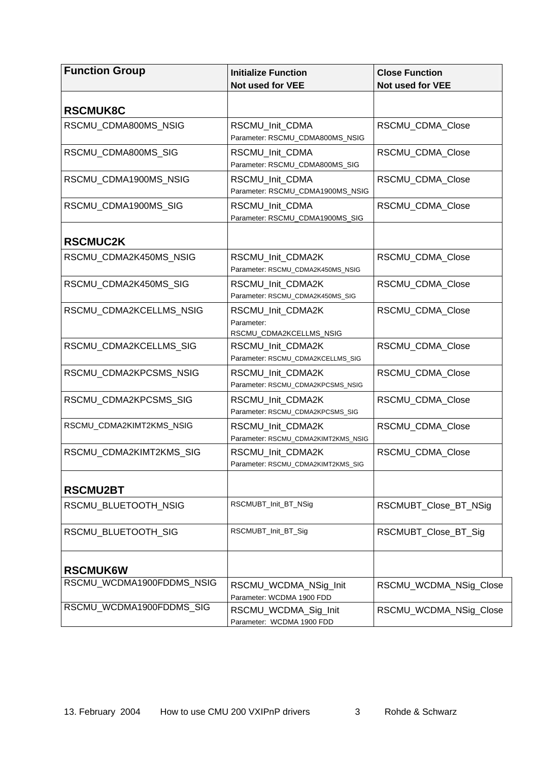<span id="page-2-0"></span>

| <b>Function Group</b>     | <b>Initialize Function</b>                                 | <b>Close Function</b>  |
|---------------------------|------------------------------------------------------------|------------------------|
|                           | Not used for VEE                                           | Not used for VEE       |
| <b>RSCMUK8C</b>           |                                                            |                        |
| RSCMU_CDMA800MS_NSIG      | RSCMU_Init_CDMA<br>Parameter: RSCMU_CDMA800MS_NSIG         | RSCMU_CDMA_Close       |
| RSCMU CDMA800MS SIG       | RSCMU_Init_CDMA<br>Parameter: RSCMU_CDMA800MS_SIG          | RSCMU_CDMA_Close       |
| RSCMU CDMA1900MS NSIG     | RSCMU Init CDMA<br>Parameter: RSCMU_CDMA1900MS_NSIG        | RSCMU CDMA Close       |
| RSCMU_CDMA1900MS_SIG      | RSCMU_Init_CDMA<br>Parameter: RSCMU_CDMA1900MS_SIG         | RSCMU_CDMA_Close       |
| <b>RSCMUC2K</b>           |                                                            |                        |
| RSCMU_CDMA2K450MS_NSIG    | RSCMU_Init_CDMA2K<br>Parameter: RSCMU_CDMA2K450MS_NSIG     | RSCMU CDMA Close       |
| RSCMU_CDMA2K450MS_SIG     | RSCMU_Init_CDMA2K<br>Parameter: RSCMU_CDMA2K450MS_SIG      | RSCMU_CDMA_Close       |
| RSCMU_CDMA2KCELLMS_NSIG   | RSCMU Init CDMA2K<br>Parameter:<br>RSCMU_CDMA2KCELLMS_NSIG | RSCMU_CDMA_Close       |
| RSCMU_CDMA2KCELLMS_SIG    | RSCMU_Init_CDMA2K<br>Parameter: RSCMU_CDMA2KCELLMS_SIG     | RSCMU_CDMA_Close       |
| RSCMU_CDMA2KPCSMS_NSIG    | RSCMU Init CDMA2K<br>Parameter: RSCMU_CDMA2KPCSMS_NSIG     | RSCMU_CDMA_Close       |
| RSCMU_CDMA2KPCSMS_SIG     | RSCMU_Init_CDMA2K<br>Parameter: RSCMU_CDMA2KPCSMS_SIG      | RSCMU_CDMA_Close       |
| RSCMU_CDMA2KIMT2KMS_NSIG  | RSCMU Init CDMA2K<br>Parameter: RSCMU_CDMA2KIMT2KMS_NSIG   | RSCMU_CDMA_Close       |
| RSCMU_CDMA2KIMT2KMS_SIG   | RSCMU_Init_CDMA2K<br>Parameter: RSCMU_CDMA2KIMT2KMS_SIG    | RSCMU_CDMA_Close       |
| <b>RSCMU2BT</b>           |                                                            |                        |
| RSCMU_BLUETOOTH_NSIG      | RSCMUBT_Init_BT_NSig                                       | RSCMUBT_Close_BT_NSig  |
| RSCMU_BLUETOOTH_SIG       | RSCMUBT_Init_BT_Sig                                        | RSCMUBT_Close_BT_Sig   |
| <b>RSCMUK6W</b>           |                                                            |                        |
| RSCMU_WCDMA1900FDDMS_NSIG | RSCMU_WCDMA_NSig_Init<br>Parameter: WCDMA 1900 FDD         | RSCMU_WCDMA_NSig_Close |
| RSCMU_WCDMA1900FDDMS_SIG  | RSCMU_WCDMA_Sig_Init<br>Parameter: WCDMA 1900 FDD          | RSCMU_WCDMA_NSig_Close |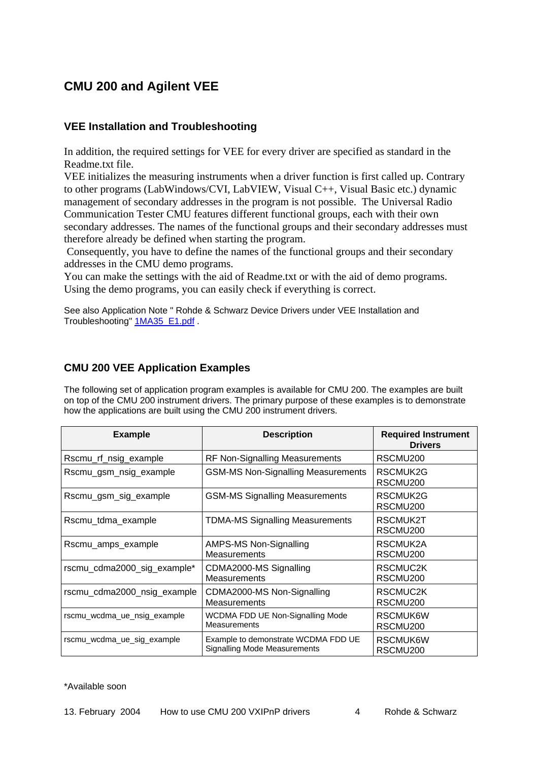### <span id="page-3-0"></span>**CMU 200 and Agilent VEE**

#### **VEE Installation and Troubleshooting**

In addition, the required settings for VEE for every driver are specified as standard in the Readme.txt file.

VEE initializes the measuring instruments when a driver function is first called up. Contrary to other programs (LabWindows/CVI, LabVIEW, Visual C++, Visual Basic etc.) dynamic management of secondary addresses in the program is not possible. The Universal Radio Communication Tester CMU features different functional groups, each with their own secondary addresses. The names of the functional groups and their secondary addresses must therefore already be defined when starting the program.

 Consequently, you have to define the names of the functional groups and their secondary addresses in the CMU demo programs.

You can make the settings with the aid of Readme.txt or with the aid of demo programs. Using the demo programs, you can easily check if everything is correct.

See also Application Note " Rohde & Schwarz Device Drivers under VEE Installation and Troubleshooting" **[1MA35\\_E1.pdf](http://www.rohde-schwarz.com/412566DA00254725/0/9FC12153827B516DC1256A5A004B5A38?Open&Highlight=0,1MA35,_u95356kpt64_)** 

#### **CMU 200 VEE Application Examples**

The following set of application program examples is available for CMU 200. The examples are built on top of the CMU 200 instrument drivers. The primary purpose of these examples is to demonstrate how the applications are built using the CMU 200 instrument drivers.

| <b>Example</b>              | <b>Description</b>                                                  | <b>Required Instrument</b><br><b>Drivers</b> |
|-----------------------------|---------------------------------------------------------------------|----------------------------------------------|
| Rscmu_rf_nsig_example       | RF Non-Signalling Measurements                                      | RSCMU200                                     |
| Rscmu_gsm_nsig_example      | <b>GSM-MS Non-Signalling Measurements</b>                           | RSCMUK2G<br>RSCMU <sub>200</sub>             |
| Rscmu_gsm_sig_example       | <b>GSM-MS Signalling Measurements</b>                               | RSCMUK2G<br>RSCMU <sub>200</sub>             |
| Rscmu_tdma_example          | <b>TDMA-MS Signalling Measurements</b>                              | RSCMUK2T<br>RSCMU <sub>200</sub>             |
| Rscmu_amps_example          | AMPS-MS Non-Signalling<br><b>Measurements</b>                       | RSCMUK2A<br>RSCMU <sub>200</sub>             |
| rscmu_cdma2000_sig_example* | CDMA2000-MS Signalling<br><b>Measurements</b>                       | RSCMUC2K<br>RSCMU <sub>200</sub>             |
| rscmu_cdma2000_nsig_example | CDMA2000-MS Non-Signalling<br><b>Measurements</b>                   | RSCMUC2K<br>RSCMU <sub>200</sub>             |
| rscmu_wcdma_ue_nsig_example | WCDMA FDD UE Non-Signalling Mode<br><b>Measurements</b>             | RSCMUK6W<br>RSCMU <sub>200</sub>             |
| rscmu wcdma ue sig example  | Example to demonstrate WCDMA FDD UE<br>Signalling Mode Measurements | RSCMUK6W<br>RSCMU <sub>200</sub>             |

\*Available soon